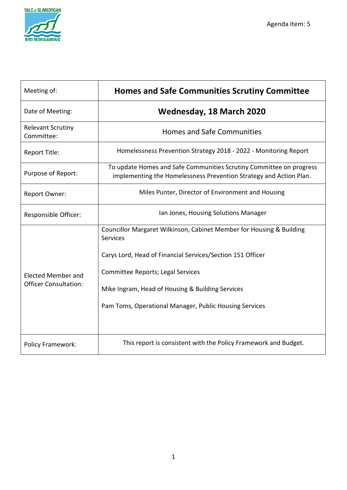

| Meeting of:                                               | <b>Homes and Safe Communities Scrutiny Committee</b>                                                                                                                                                                                                                                                     |
|-----------------------------------------------------------|----------------------------------------------------------------------------------------------------------------------------------------------------------------------------------------------------------------------------------------------------------------------------------------------------------|
| Date of Meeting:                                          | <b>Wednesday, 18 March 2020</b>                                                                                                                                                                                                                                                                          |
| <b>Relevant Scrutiny</b><br>Committee:                    | <b>Homes and Safe Communities</b>                                                                                                                                                                                                                                                                        |
| <b>Report Title:</b>                                      | Homelessness Prevention Strategy 2018 - 2022 - Monitoring Report                                                                                                                                                                                                                                         |
| Purpose of Report:                                        | To update Homes and Safe Communities Scrutiny Committee on progress<br>implementing the Homelessness Prevention Strategy and Action Plan.                                                                                                                                                                |
| Report Owner:                                             | Miles Punter, Director of Environment and Housing                                                                                                                                                                                                                                                        |
| Responsible Officer:                                      | Ian Jones, Housing Solutions Manager                                                                                                                                                                                                                                                                     |
| <b>Elected Member and</b><br><b>Officer Consultation:</b> | Councillor Margaret Wilkinson, Cabinet Member for Housing & Building<br><b>Services</b><br>Carys Lord, Head of Financial Services/Section 151 Officer<br>Committee Reports; Legal Services<br>Mike Ingram, Head of Housing & Building Services<br>Pam Toms, Operational Manager, Public Housing Services |
| Policy Framework:                                         | This report is consistent with the Policy Framework and Budget.                                                                                                                                                                                                                                          |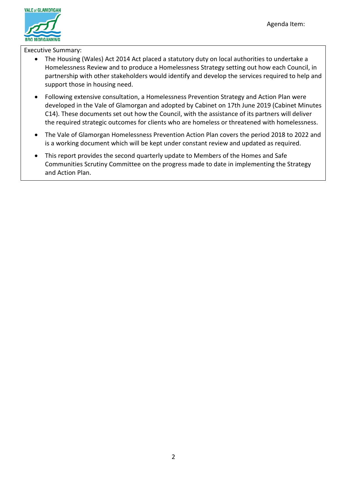

Executive Summary:

- The Housing (Wales) Act 2014 Act placed a statutory duty on local authorities to undertake a Homelessness Review and to produce a Homelessness Strategy setting out how each Council, in partnership with other stakeholders would identify and develop the services required to help and support those in housing need.
- Following extensive consultation, a Homelessness Prevention Strategy and Action Plan were developed in the Vale of Glamorgan and adopted by Cabinet on 17th June 2019 (Cabinet Minutes C14). These documents set out how the Council, with the assistance of its partners will deliver the required strategic outcomes for clients who are homeless or threatened with homelessness.
- The Vale of Glamorgan Homelessness Prevention Action Plan covers the period 2018 to 2022 and is a working document which will be kept under constant review and updated as required.
- This report provides the second quarterly update to Members of the Homes and Safe Communities Scrutiny Committee on the progress made to date in implementing the Strategy and Action Plan.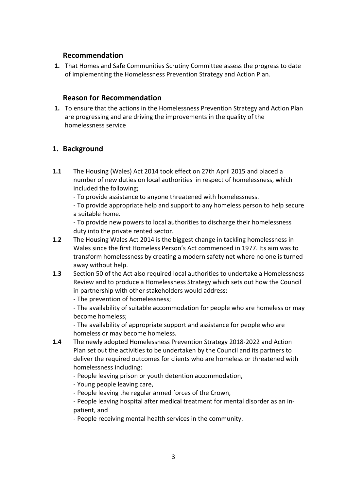## **Recommendation**

**1.** That Homes and Safe Communities Scrutiny Committee assess the progress to date of implementing the Homelessness Prevention Strategy and Action Plan.

## **Reason for Recommendation**

**1.** To ensure that the actions in the Homelessness Prevention Strategy and Action Plan are progressing and are driving the improvements in the quality of the homelessness service

# **1. Background**

- **1.1** The Housing (Wales) Act 2014 took effect on 27th April 2015 and placed a number of new duties on local authorities in respect of homelessness, which included the following;
	- To provide assistance to anyone threatened with homelessness.

- To provide appropriate help and support to any homeless person to help secure a suitable home.

- To provide new powers to local authorities to discharge their homelessness duty into the private rented sector.

- **1.2** The Housing Wales Act 2014 is the biggest change in tackling homelessness in Wales since the first Homeless Person's Act commenced in 1977. Its aim was to transform homelessness by creating a modern safety net where no one is turned away without help.
- **1.3** Section 50 of the Act also required local authorities to undertake a Homelessness Review and to produce a Homelessness Strategy which sets out how the Council in partnership with other stakeholders would address:

- The prevention of homelessness;

- The availability of suitable accommodation for people who are homeless or may become homeless;

- The availability of appropriate support and assistance for people who are homeless or may become homeless.

- **1.4** The newly adopted Homelessness Prevention Strategy 2018-2022 and Action Plan set out the activities to be undertaken by the Council and its partners to deliver the required outcomes for clients who are homeless or threatened with homelessness including:
	- People leaving prison or youth detention accommodation,
	- Young people leaving care,
	- People leaving the regular armed forces of the Crown,

- People leaving hospital after medical treatment for mental disorder as an inpatient, and

- People receiving mental health services in the community.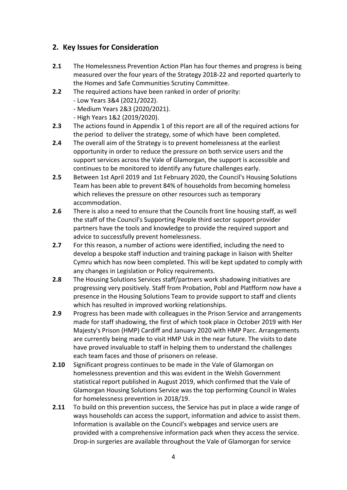# **2. Key Issues for Consideration**

- **2.1** The Homelessness Prevention Action Plan has four themes and progress is being measured over the four years of the Strategy 2018-22 and reported quarterly to the Homes and Safe Communities Scrutiny Committee.
- **2.2** The required actions have been ranked in order of priority:
	- Low Years 3&4 (2021/2022).
	- Medium Years 2&3 (2020/2021).
	- High Years 1&2 (2019/2020).
- **2.3** The actions found in Appendix 1 of this report are all of the required actions for the period to deliver the strategy, some of which have been completed.
- **2.4** The overall aim of the Strategy is to prevent homelessness at the earliest opportunity in order to reduce the pressure on both service users and the support services across the Vale of Glamorgan, the support is accessible and continues to be monitored to identify any future challenges early.
- **2.5** Between 1st April 2019 and 1st February 2020, the Council's Housing Solutions Team has been able to prevent 84% of households from becoming homeless which relieves the pressure on other resources such as temporary accommodation.
- **2.6** There is also a need to ensure that the Councils front line housing staff, as well the staff of the Council's Supporting People third sector support provider partners have the tools and knowledge to provide the required support and advice to successfully prevent homelessness.
- **2.7** For this reason, a number of actions were identified, including the need to develop a bespoke staff induction and training package in liaison with Shelter Cymru which has now been completed. This will be kept updated to comply with any changes in Legislation or Policy requirements.
- **2.8** The Housing Solutions Services staff/partners work shadowing initiatives are progressing very positively. Staff from Probation, Pobl and Platfform now have a presence in the Housing Solutions Team to provide support to staff and clients which has resulted in improved working relationships.
- **2.9** Progress has been made with colleagues in the Prison Service and arrangements made for staff shadowing, the first of which took place in October 2019 with Her Majesty's Prison (HMP) Cardiff and January 2020 with HMP Parc. Arrangements are currently being made to visit HMP Usk in the near future. The visits to date have proved invaluable to staff in helping them to understand the challenges each team faces and those of prisoners on release.
- **2.10** Significant progress continues to be made in the Vale of Glamorgan on homelessness prevention and this was evident in the Welsh Government statistical report published in August 2019, which confirmed that the Vale of Glamorgan Housing Solutions Service was the top performing Council in Wales for homelessness prevention in 2018/19.
- **2.11** To build on this prevention success, the Service has put in place a wide range of ways households can access the support, information and advice to assist them. Information is available on the Council's webpages and service users are provided with a comprehensive information pack when they access the service. Drop-in surgeries are available throughout the Vale of Glamorgan for service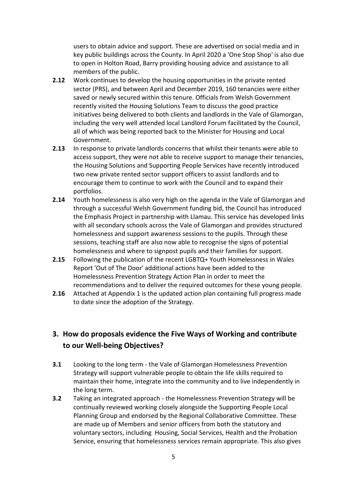users to obtain advice and support. These are advertised on social media and in key public buildings across the County. In April 2020 a 'One Stop Shop' is also due to open in Holton Road, Barry providing housing advice and assistance to all members of the public.

- **2.12** Work continues to develop the housing opportunities in the private rented sector (PRS), and between April and December 2019, 160 tenancies were either saved or newly secured within this tenure. Officials from Welsh Government recently visited the Housing Solutions Team to discuss the good practice initiatives being delivered to both clients and landlords in the Vale of Glamorgan, including the very well attended local Landlord Forum facilitated by the Council, all of which was being reported back to the Minister for Housing and Local Government.
- **2.13** In response to private landlords concerns that whilst their tenants were able to access support, they were not able to receive support to manage their tenancies, the Housing Solutions and Supporting People Services have recently introduced two new private rented sector support officers to assist landlords and to encourage them to continue to work with the Council and to expand their portfolios.
- **2.14** Youth homelessness is also very high on the agenda in the Vale of Glamorgan and through a successful Welsh Government funding bid, the Council has introduced the Emphasis Project in partnership with Llamau. This service has developed links with all secondary schools across the Vale of Glamorgan and provides structured homelessness and support awareness sessions to the pupils. Through these sessions, teaching staff are also now able to recognise the signs of potential homelessness and where to signpost pupils and their families for support.
- **2.15** Following the publication of the recent LGBTQ+ Youth Homelessness in Wales Report 'Out of The Door' additional actions have been added to the Homelessness Prevention Strategy Action Plan in order to meet the recommendations and to deliver the required outcomes for these young people.
- **2.16** Attached at Appendix 1 is the updated action plan containing full progress made to date since the adoption of the Strategy.

# **3. How do proposals evidence the Five Ways of Working and contribute to our Well-being Objectives?**

- **3.1** Looking to the long term the Vale of Glamorgan Homelessness Prevention Strategy will support vulnerable people to obtain the life skills required to maintain their home, integrate into the community and to live independently in the long term.
- **3.2** Taking an integrated approach the Homelessness Prevention Strategy will be continually reviewed working closely alongside the Supporting People Local Planning Group and endorsed by the Regional Collaborative Committee. These are made up of Members and senior officers from both the statutory and voluntary sectors, including Housing, Social Services, Health and the Probation Service, ensuring that homelessness services remain appropriate. This also gives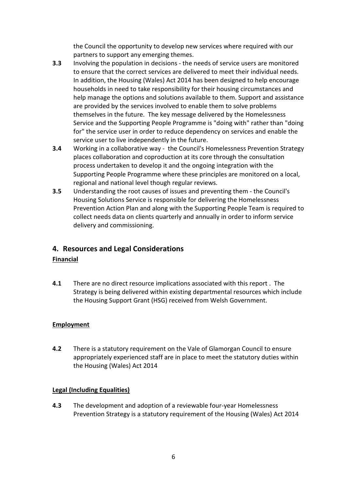the Council the opportunity to develop new services where required with our partners to support any emerging themes.

- **3.3** Involving the population in decisions the needs of service users are monitored to ensure that the correct services are delivered to meet their individual needs. In addition, the Housing (Wales) Act 2014 has been designed to help encourage households in need to take responsibility for their housing circumstances and help manage the options and solutions available to them. Support and assistance are provided by the services involved to enable them to solve problems themselves in the future. The key message delivered by the Homelessness Service and the Supporting People Programme is "doing with" rather than "doing for" the service user in order to reduce dependency on services and enable the service user to live independently in the future.
- **3.4** Working in a collaborative way the Council's Homelessness Prevention Strategy places collaboration and coproduction at its core through the consultation process undertaken to develop it and the ongoing integration with the Supporting People Programme where these principles are monitored on a local, regional and national level though regular reviews.
- **3.5** Understanding the root causes of issues and preventing them the Council's Housing Solutions Service is responsible for delivering the Homelessness Prevention Action Plan and along with the Supporting People Team is required to collect needs data on clients quarterly and annually in order to inform service delivery and commissioning.

# **4. Resources and Legal Considerations**

#### **Financial**

**4.1** There are no direct resource implications associated with this report . The Strategy is being delivered within existing departmental resources which include the Housing Support Grant (HSG) received from Welsh Government.

#### **Employment**

**4.2** There is a statutory requirement on the Vale of Glamorgan Council to ensure appropriately experienced staff are in place to meet the statutory duties within the Housing (Wales) Act 2014

#### **Legal (Including Equalities)**

**4.3** The development and adoption of a reviewable four-year Homelessness Prevention Strategy is a statutory requirement of the Housing (Wales) Act 2014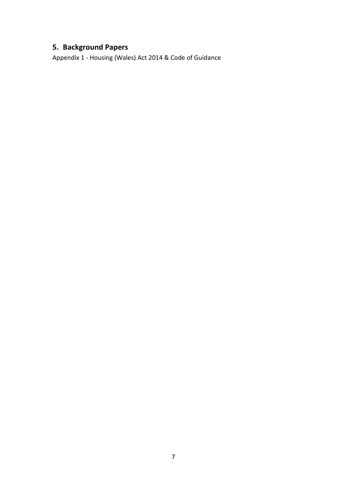# **5. Background Papers**

Appendix 1 - Housing (Wales) Act 2014 & Code of Guidance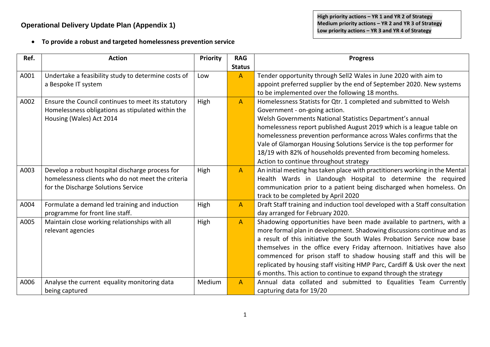• **To provide a robust and targeted homelessness prevention service**

| Ref. | <b>Action</b>                                       | <b>Priority</b> | <b>RAG</b>     | <b>Progress</b>                                                             |
|------|-----------------------------------------------------|-----------------|----------------|-----------------------------------------------------------------------------|
|      |                                                     |                 | <b>Status</b>  |                                                                             |
| A001 | Undertake a feasibility study to determine costs of | Low             | $\mathsf{A}$   | Tender opportunity through Sell2 Wales in June 2020 with aim to             |
|      | a Bespoke IT system                                 |                 |                | appoint preferred supplier by the end of September 2020. New systems        |
|      |                                                     |                 |                | to be implemented over the following 18 months.                             |
| A002 | Ensure the Council continues to meet its statutory  | High            | $\overline{A}$ | Homelessness Statists for Qtr. 1 completed and submitted to Welsh           |
|      | Homelessness obligations as stipulated within the   |                 |                | Government - on-going action.                                               |
|      | Housing (Wales) Act 2014                            |                 |                | Welsh Governments National Statistics Department's annual                   |
|      |                                                     |                 |                | homelessness report published August 2019 which is a league table on        |
|      |                                                     |                 |                | homelessness prevention performance across Wales confirms that the          |
|      |                                                     |                 |                | Vale of Glamorgan Housing Solutions Service is the top performer for        |
|      |                                                     |                 |                | 18/19 with 82% of households prevented from becoming homeless.              |
|      |                                                     |                 |                | Action to continue throughout strategy                                      |
| A003 | Develop a robust hospital discharge process for     | High            | $\overline{A}$ | An initial meeting has taken place with practitioners working in the Mental |
|      | homelessness clients who do not meet the criteria   |                 |                | Health Wards in Llandough Hospital to determine the required                |
|      | for the Discharge Solutions Service                 |                 |                | communication prior to a patient being discharged when homeless. On         |
|      |                                                     |                 |                | track to be completed by April 2020                                         |
| A004 | Formulate a demand led training and induction       | High            | $\overline{A}$ | Draft Staff training and induction tool developed with a Staff consultation |
|      | programme for front line staff.                     |                 |                | day arranged for February 2020.                                             |
| A005 | Maintain close working relationships with all       | High            | $\mathsf{A}$   | Shadowing opportunities have been made available to partners, with a        |
|      | relevant agencies                                   |                 |                | more formal plan in development. Shadowing discussions continue and as      |
|      |                                                     |                 |                | a result of this initiative the South Wales Probation Service now base      |
|      |                                                     |                 |                | themselves in the office every Friday afternoon. Initiatives have also      |
|      |                                                     |                 |                | commenced for prison staff to shadow housing staff and this will be         |
|      |                                                     |                 |                | replicated by housing staff visiting HMP Parc, Cardiff & Usk over the next  |
|      |                                                     |                 |                | 6 months. This action to continue to expand through the strategy            |
| A006 | Analyse the current equality monitoring data        | Medium          | $\overline{A}$ | Annual data collated and submitted to Equalities Team Currently             |
|      | being captured                                      |                 |                | capturing data for 19/20                                                    |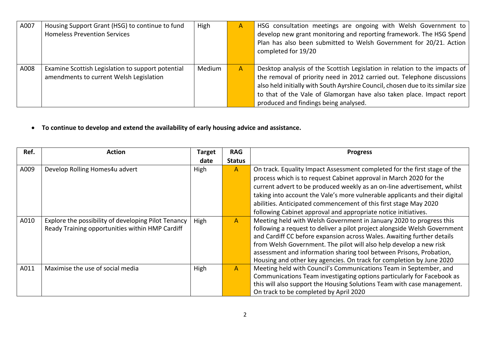| A007 | Housing Support Grant (HSG) to continue to fund<br><b>Homeless Prevention Services</b>       | High   | Α | HSG consultation meetings are ongoing with Welsh Government to<br>develop new grant monitoring and reporting framework. The HSG Spend<br>Plan has also been submitted to Welsh Government for 20/21. Action<br>completed for 19/20                                                                                                                         |
|------|----------------------------------------------------------------------------------------------|--------|---|------------------------------------------------------------------------------------------------------------------------------------------------------------------------------------------------------------------------------------------------------------------------------------------------------------------------------------------------------------|
| A008 | Examine Scottish Legislation to support potential<br>amendments to current Welsh Legislation | Medium | A | Desktop analysis of the Scottish Legislation in relation to the impacts of<br>the removal of priority need in 2012 carried out. Telephone discussions<br>also held initially with South Ayrshire Council, chosen due to its similar size<br>to that of the Vale of Glamorgan have also taken place. Impact report<br>produced and findings being analysed. |

• **To continue to develop and extend the availability of early housing advice and assistance.** 

| Ref. | <b>Action</b>                                       | Target | <b>RAG</b>    | <b>Progress</b>                                                             |
|------|-----------------------------------------------------|--------|---------------|-----------------------------------------------------------------------------|
|      |                                                     | date   | <b>Status</b> |                                                                             |
| A009 | Develop Rolling Homes4u advert                      | High   | $\mathsf{A}$  | On track. Equality Impact Assessment completed for the first stage of the   |
|      |                                                     |        |               | process which is to request Cabinet approval in March 2020 for the          |
|      |                                                     |        |               | current advert to be produced weekly as an on-line advertisement, whilst    |
|      |                                                     |        |               | taking into account the Vale's more vulnerable applicants and their digital |
|      |                                                     |        |               | abilities. Anticipated commencement of this first stage May 2020            |
|      |                                                     |        |               | following Cabinet approval and appropriate notice initiatives.              |
| A010 | Explore the possibility of developing Pilot Tenancy | High   | A             | Meeting held with Welsh Government in January 2020 to progress this         |
|      | Ready Training opportunities within HMP Cardiff     |        |               | following a request to deliver a pilot project alongside Welsh Government   |
|      |                                                     |        |               | and Cardiff CC before expansion across Wales. Awaiting further details      |
|      |                                                     |        |               | from Welsh Government. The pilot will also help develop a new risk          |
|      |                                                     |        |               | assessment and information sharing tool between Prisons, Probation,         |
|      |                                                     |        |               | Housing and other key agencies. On track for completion by June 2020        |
| A011 | Maximise the use of social media                    | High   | A             | Meeting held with Council's Communications Team in September, and           |
|      |                                                     |        |               | Communications Team investigating options particularly for Facebook as      |
|      |                                                     |        |               | this will also support the Housing Solutions Team with case management.     |
|      |                                                     |        |               | On track to be completed by April 2020                                      |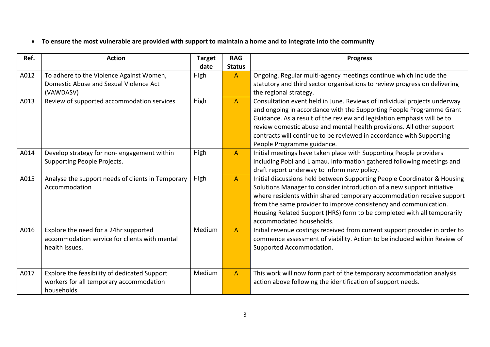• **To ensure the most vulnerable are provided with support to maintain a home and to integrate into the community**

| Ref. | <b>Action</b>                                                                                            | <b>Target</b><br>date | <b>RAG</b><br><b>Status</b> | <b>Progress</b>                                                                                                                                                                                                                                                                                                                                                                                            |
|------|----------------------------------------------------------------------------------------------------------|-----------------------|-----------------------------|------------------------------------------------------------------------------------------------------------------------------------------------------------------------------------------------------------------------------------------------------------------------------------------------------------------------------------------------------------------------------------------------------------|
| A012 | To adhere to the Violence Against Women,<br>Domestic Abuse and Sexual Violence Act<br>(VAWDASV)          | High                  | $\mathsf{A}$                | Ongoing. Regular multi-agency meetings continue which include the<br>statutory and third sector organisations to review progress on delivering<br>the regional strategy.                                                                                                                                                                                                                                   |
| A013 | Review of supported accommodation services                                                               | High                  | $\mathsf{A}$                | Consultation event held in June. Reviews of individual projects underway<br>and ongoing in accordance with the Supporting People Programme Grant<br>Guidance. As a result of the review and legislation emphasis will be to<br>review domestic abuse and mental health provisions. All other support<br>contracts will continue to be reviewed in accordance with Supporting<br>People Programme guidance. |
| A014 | Develop strategy for non- engagement within<br>Supporting People Projects.                               | High                  | $\mathsf{A}$                | Initial meetings have taken place with Supporting People providers<br>including Pobl and Llamau. Information gathered following meetings and<br>draft report underway to inform new policy.                                                                                                                                                                                                                |
| A015 | Analyse the support needs of clients in Temporary<br>Accommodation                                       | High                  | $\mathsf{A}$                | Initial discussions held between Supporting People Coordinator & Housing<br>Solutions Manager to consider introduction of a new support initiative<br>where residents within shared temporary accommodation receive support<br>from the same provider to improve consistency and communication.<br>Housing Related Support (HRS) form to be completed with all temporarily<br>accommodated households.     |
| A016 | Explore the need for a 24hr supported<br>accommodation service for clients with mental<br>health issues. | Medium                | $\overline{A}$              | Initial revenue costings received from current support provider in order to<br>commence assessment of viability. Action to be included within Review of<br>Supported Accommodation.                                                                                                                                                                                                                        |
| A017 | Explore the feasibility of dedicated Support<br>workers for all temporary accommodation<br>households    | Medium                | $\overline{A}$              | This work will now form part of the temporary accommodation analysis<br>action above following the identification of support needs.                                                                                                                                                                                                                                                                        |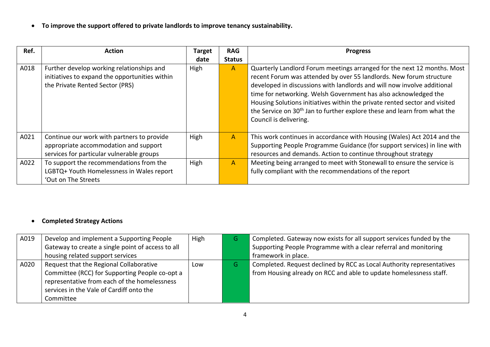• **To improve the support offered to private landlords to improve tenancy sustainability.**

| Ref. | Action                                                                                                                           | <b>Target</b> | <b>RAG</b>     | <b>Progress</b>                                                                                                                                                                                                                                                                                                                                                                                                                                                                              |
|------|----------------------------------------------------------------------------------------------------------------------------------|---------------|----------------|----------------------------------------------------------------------------------------------------------------------------------------------------------------------------------------------------------------------------------------------------------------------------------------------------------------------------------------------------------------------------------------------------------------------------------------------------------------------------------------------|
|      |                                                                                                                                  | date          | <b>Status</b>  |                                                                                                                                                                                                                                                                                                                                                                                                                                                                                              |
| A018 | Further develop working relationships and<br>initiatives to expand the opportunities within<br>the Private Rented Sector (PRS)   | High          | $\mathsf{A}$   | Quarterly Landlord Forum meetings arranged for the next 12 months. Most<br>recent Forum was attended by over 55 landlords. New forum structure<br>developed in discussions with landlords and will now involve additional<br>time for networking. Welsh Government has also acknowledged the<br>Housing Solutions initiatives within the private rented sector and visited<br>the Service on 30 <sup>th</sup> Jan to further explore these and learn from what the<br>Council is delivering. |
| A021 | Continue our work with partners to provide<br>appropriate accommodation and support<br>services for particular vulnerable groups | High          | $\mathsf{A}$   | This work continues in accordance with Housing (Wales) Act 2014 and the<br>Supporting People Programme Guidance (for support services) in line with<br>resources and demands. Action to continue throughout strategy                                                                                                                                                                                                                                                                         |
| A022 | To support the recommendations from the<br>LGBTQ+ Youth Homelessness in Wales report<br>'Out on The Streets                      | High          | $\overline{A}$ | Meeting being arranged to meet with Stonewall to ensure the service is<br>fully compliant with the recommendations of the report                                                                                                                                                                                                                                                                                                                                                             |

# • **Completed Strategy Actions**

| A019 | Develop and implement a Supporting People         | High | יט | Completed. Gateway now exists for all support services funded by the  |
|------|---------------------------------------------------|------|----|-----------------------------------------------------------------------|
|      | Gateway to create a single point of access to all |      |    | Supporting People Programme with a clear referral and monitoring      |
|      | housing related support services                  |      |    | framework in place.                                                   |
| A020 | Request that the Regional Collaborative           | Low  | G  | Completed. Request declined by RCC as Local Authority representatives |
|      | Committee (RCC) for Supporting People co-opt a    |      |    | from Housing already on RCC and able to update homelessness staff.    |
|      | representative from each of the homelessness      |      |    |                                                                       |
|      | services in the Vale of Cardiff onto the          |      |    |                                                                       |
|      | Committee                                         |      |    |                                                                       |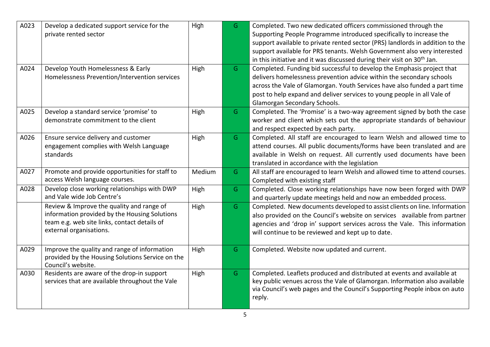| A023 | Develop a dedicated support service for the<br>private rented sector                                                                                                  | High   | G. | Completed. Two new dedicated officers commissioned through the<br>Supporting People Programme introduced specifically to increase the<br>support available to private rented sector (PRS) landlords in addition to the<br>support available for PRS tenants. Welsh Government also very interested<br>in this initiative and it was discussed during their visit on 30 <sup>th</sup> Jan. |
|------|-----------------------------------------------------------------------------------------------------------------------------------------------------------------------|--------|----|-------------------------------------------------------------------------------------------------------------------------------------------------------------------------------------------------------------------------------------------------------------------------------------------------------------------------------------------------------------------------------------------|
| A024 | Develop Youth Homelessness & Early<br>Homelessness Prevention/Intervention services                                                                                   | High   | G  | Completed. Funding bid successful to develop the Emphasis project that<br>delivers homelessness prevention advice within the secondary schools<br>across the Vale of Glamorgan. Youth Services have also funded a part time<br>post to help expand and deliver services to young people in all Vale of<br>Glamorgan Secondary Schools.                                                    |
| A025 | Develop a standard service 'promise' to<br>demonstrate commitment to the client                                                                                       | High   | G  | Completed. The 'Promise' is a two-way agreement signed by both the case<br>worker and client which sets out the appropriate standards of behaviour<br>and respect expected by each party.                                                                                                                                                                                                 |
| A026 | Ensure service delivery and customer<br>engagement complies with Welsh Language<br>standards                                                                          | High   | G  | Completed. All staff are encouraged to learn Welsh and allowed time to<br>attend courses. All public documents/forms have been translated and are<br>available in Welsh on request. All currently used documents have been<br>translated in accordance with the legislation                                                                                                               |
| A027 | Promote and provide opportunities for staff to<br>access Welsh language courses.                                                                                      | Medium | G. | All staff are encouraged to learn Welsh and allowed time to attend courses.<br>Completed with existing staff                                                                                                                                                                                                                                                                              |
| A028 | Develop close working relationships with DWP<br>and Vale wide Job Centre's                                                                                            | High   | G  | Completed. Close working relationships have now been forged with DWP<br>and quarterly update meetings held and now an embedded process.                                                                                                                                                                                                                                                   |
|      | Review & Improve the quality and range of<br>information provided by the Housing Solutions<br>team e.g. web site links, contact details of<br>external organisations. | High   | G  | Completed. New documents developed to assist clients on line. Information<br>also provided on the Council's website on services available from partner<br>agencies and 'drop in' support services across the Vale. This information<br>will continue to be reviewed and kept up to date.                                                                                                  |
| A029 | Improve the quality and range of information<br>provided by the Housing Solutions Service on the<br>Council's website.                                                | High   | G  | Completed. Website now updated and current.                                                                                                                                                                                                                                                                                                                                               |
| A030 | Residents are aware of the drop-in support<br>services that are available throughout the Vale                                                                         | High   | G  | Completed. Leaflets produced and distributed at events and available at<br>key public venues across the Vale of Glamorgan. Information also available<br>via Council's web pages and the Council's Supporting People inbox on auto<br>reply.                                                                                                                                              |